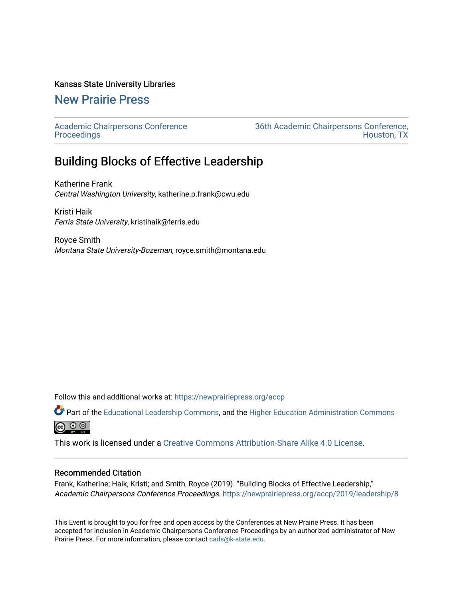### Kansas State University Libraries

### [New Prairie Press](https://newprairiepress.org/)

[Academic Chairpersons Conference](https://newprairiepress.org/accp)  **Proceedings** 

[36th Academic Chairpersons Conference,](https://newprairiepress.org/accp/2019)  [Houston, TX](https://newprairiepress.org/accp/2019) 

## Building Blocks of Effective Leadership

Katherine Frank Central Washington University, katherine.p.frank@cwu.edu

Kristi Haik Ferris State University, kristihaik@ferris.edu

Royce Smith Montana State University-Bozeman, royce.smith@montana.edu

Follow this and additional works at: [https://newprairiepress.org/accp](https://newprairiepress.org/accp?utm_source=newprairiepress.org%2Faccp%2F2019%2Fleadership%2F8&utm_medium=PDF&utm_campaign=PDFCoverPages) 

Part of the [Educational Leadership Commons,](http://network.bepress.com/hgg/discipline/1230?utm_source=newprairiepress.org%2Faccp%2F2019%2Fleadership%2F8&utm_medium=PDF&utm_campaign=PDFCoverPages) and the [Higher Education Administration Commons](http://network.bepress.com/hgg/discipline/791?utm_source=newprairiepress.org%2Faccp%2F2019%2Fleadership%2F8&utm_medium=PDF&utm_campaign=PDFCoverPages)  $\odot$   $\odot$   $\odot$ 

This work is licensed under a [Creative Commons Attribution-Share Alike 4.0 License.](https://creativecommons.org/licenses/by-sa/4.0/)

#### Recommended Citation

Frank, Katherine; Haik, Kristi; and Smith, Royce (2019). "Building Blocks of Effective Leadership," Academic Chairpersons Conference Proceedings. <https://newprairiepress.org/accp/2019/leadership/8>

This Event is brought to you for free and open access by the Conferences at New Prairie Press. It has been accepted for inclusion in Academic Chairpersons Conference Proceedings by an authorized administrator of New Prairie Press. For more information, please contact [cads@k-state.edu.](mailto:cads@k-state.edu)